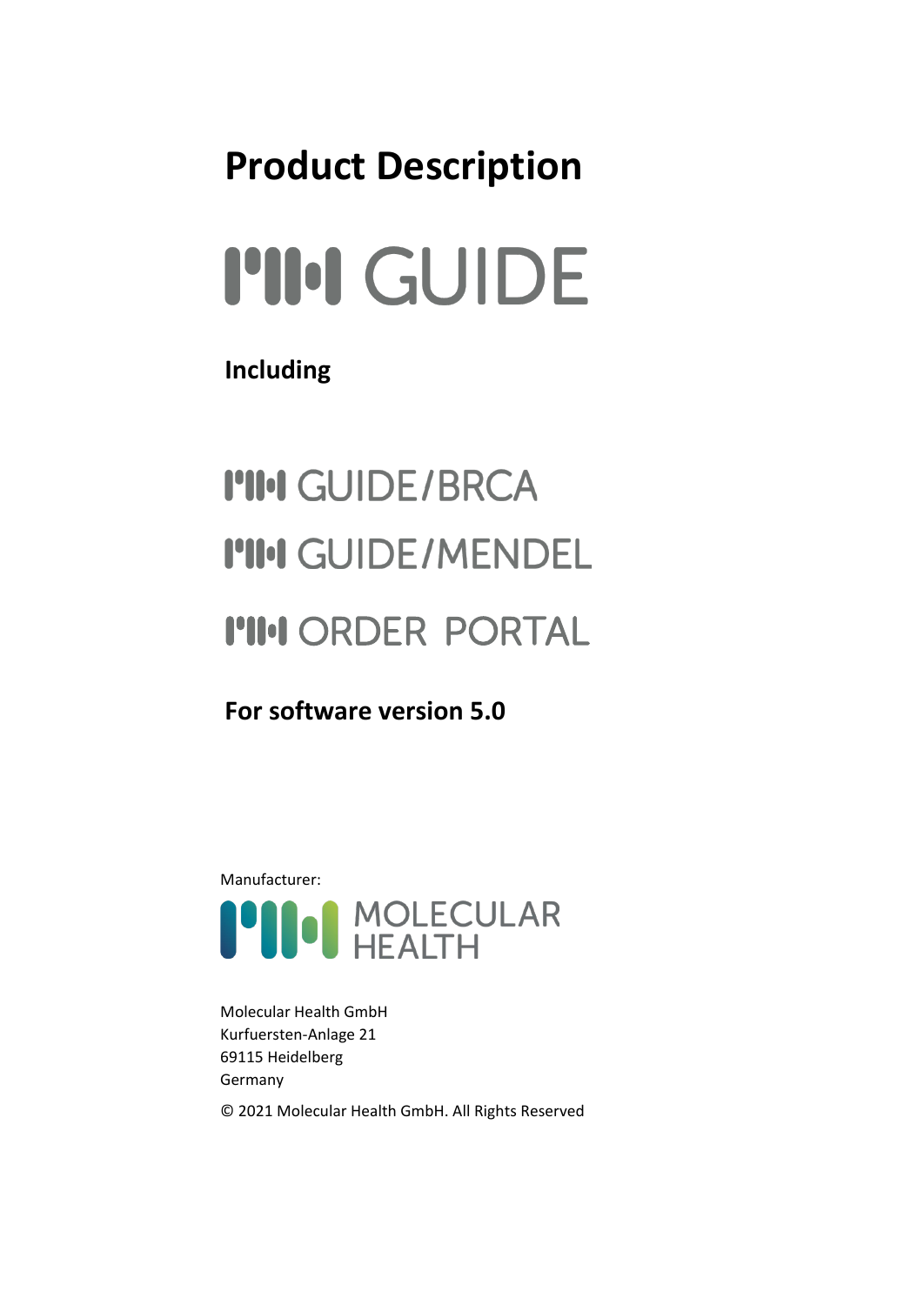## **Product Description**

# **PII:I GUIDE**

#### **Including**

## **I'II'I GUIDE/BRCA I'II'I GUIDE/MENDEL I'II'I ORDER PORTAL**

**For software version 5.0**



Molecular Health GmbH Kurfuersten-Anlage 21 69115 Heidelberg Germany © 2021 Molecular Health GmbH. All Rights Reserved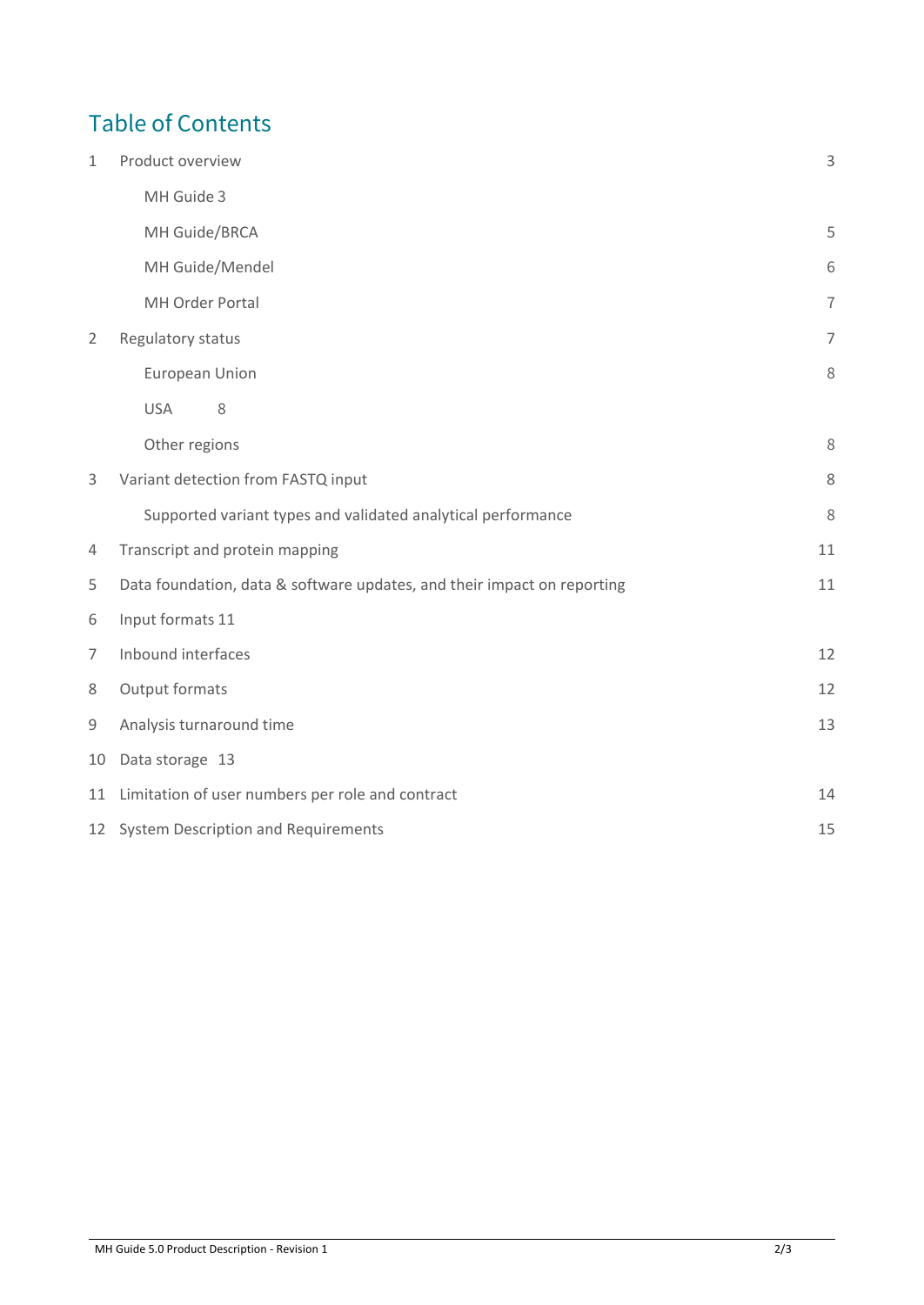#### Table of Contents

| $\mathbf{1}$   | Product overview                                                        |                |  |  |
|----------------|-------------------------------------------------------------------------|----------------|--|--|
|                | MH Guide 3                                                              |                |  |  |
|                | MH Guide/BRCA                                                           | 5              |  |  |
|                | MH Guide/Mendel                                                         | 6              |  |  |
|                | MH Order Portal                                                         | $\overline{1}$ |  |  |
| $\overline{2}$ | Regulatory status                                                       | $\overline{7}$ |  |  |
|                | European Union                                                          | 8              |  |  |
|                | <b>USA</b><br>8                                                         |                |  |  |
|                | Other regions                                                           | 8              |  |  |
| 3              | Variant detection from FASTQ input                                      | 8              |  |  |
|                | Supported variant types and validated analytical performance            | 8              |  |  |
| 4              | Transcript and protein mapping                                          | 11             |  |  |
| 5              | Data foundation, data & software updates, and their impact on reporting | 11             |  |  |
| 6              | Input formats 11                                                        |                |  |  |
| $\overline{7}$ | Inbound interfaces                                                      | 12             |  |  |
| 8              | Output formats                                                          | 12             |  |  |
| 9              | Analysis turnaround time                                                | 13             |  |  |
| 10             | Data storage 13                                                         |                |  |  |
| 11             | Limitation of user numbers per role and contract                        | 14             |  |  |
|                | 12 System Description and Requirements                                  | 15             |  |  |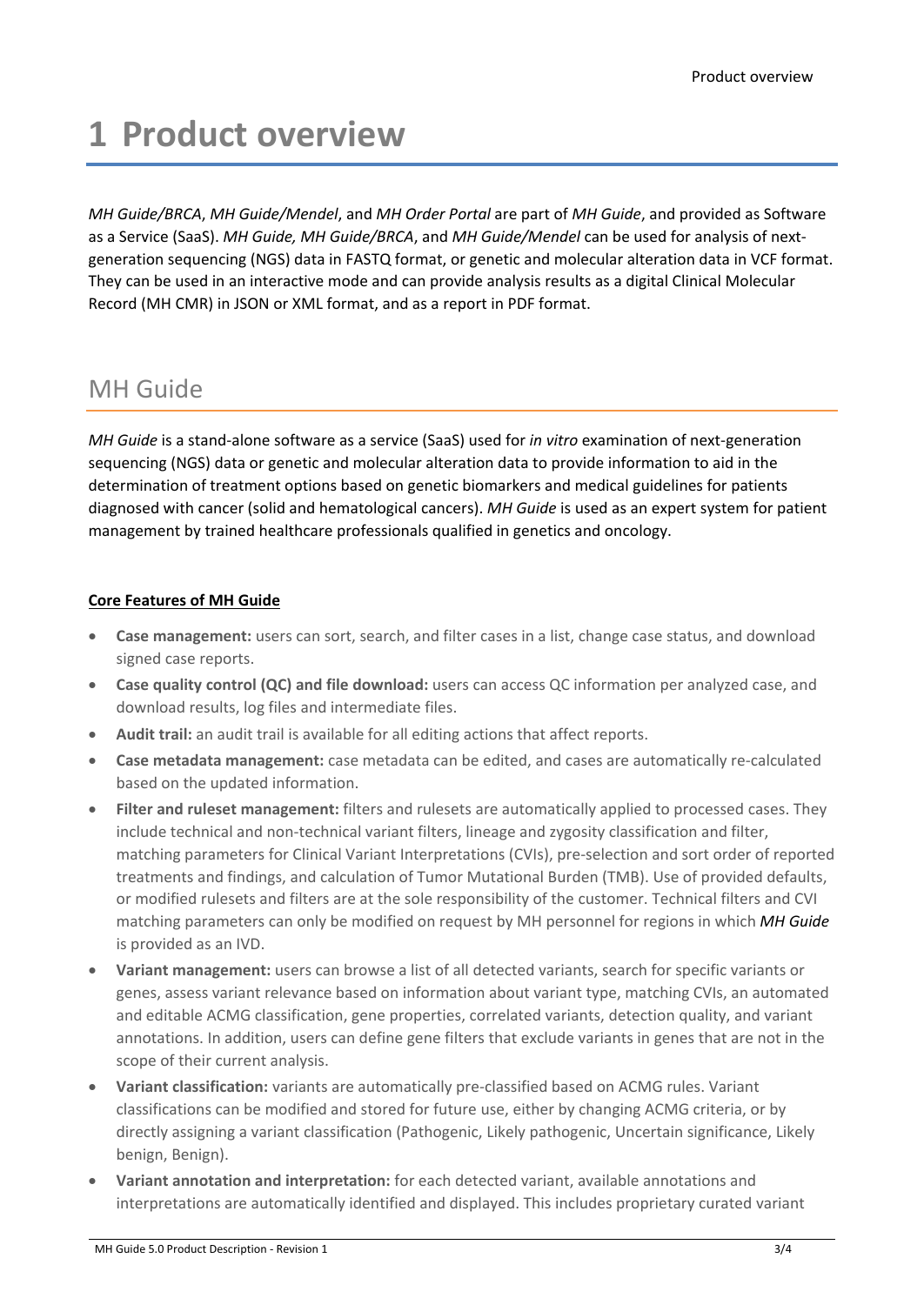## <span id="page-2-0"></span>**1 Product overview**

*MH Guide/BRCA*, *MH Guide/Mendel*, and *MH Order Portal* are part of *MH Guide*, and provided as Software as a Service (SaaS). *MH Guide, MH Guide/BRCA*, and *MH Guide/Mendel* can be used for analysis of nextgeneration sequencing (NGS) data in FASTQ format, or genetic and molecular alteration data in VCF format. They can be used in an interactive mode and can provide analysis results as a digital Clinical Molecular Record (MH CMR) in JSON or XML format, and as a report in PDF format.

#### <span id="page-2-1"></span>MH Guide

*MH Guide* is a stand-alone software as a service (SaaS) used for *in vitro* examination of next-generation sequencing (NGS) data or genetic and molecular alteration data to provide information to aid in the determination of treatment options based on genetic biomarkers and medical guidelines for patients diagnosed with cancer (solid and hematological cancers). *MH Guide* is used as an expert system for patient management by trained healthcare professionals qualified in genetics and oncology.

#### **Core Features of MH Guide**

- **Case management:** users can sort, search, and filter cases in a list, change case status, and download signed case reports.
- **Case quality control (QC) and file download:** users can access QC information per analyzed case, and download results, log files and intermediate files.
- **Audit trail:** an audit trail is available for all editing actions that affect reports.
- **Case metadata management:** case metadata can be edited, and cases are automatically re-calculated based on the updated information.
- **Filter and ruleset management:** filters and rulesets are automatically applied to processed cases. They include technical and non-technical variant filters, lineage and zygosity classification and filter, matching parameters for Clinical Variant Interpretations (CVIs), pre-selection and sort order of reported treatments and findings, and calculation of Tumor Mutational Burden (TMB). Use of provided defaults, or modified rulesets and filters are at the sole responsibility of the customer. Technical filters and CVI matching parameters can only be modified on request by MH personnel for regions in which *MH Guide* is provided as an IVD.
- **Variant management:** users can browse a list of all detected variants, search for specific variants or genes, assess variant relevance based on information about variant type, matching CVIs, an automated and editable ACMG classification, gene properties, correlated variants, detection quality, and variant annotations. In addition, users can define gene filters that exclude variants in genes that are not in the scope of their current analysis.
- **Variant classification:** variants are automatically pre-classified based on ACMG rules. Variant classifications can be modified and stored for future use, either by changing ACMG criteria, or by directly assigning a variant classification (Pathogenic, Likely pathogenic, Uncertain significance, Likely benign, Benign).
- **Variant annotation and interpretation:** for each detected variant, available annotations and interpretations are automatically identified and displayed. This includes proprietary curated variant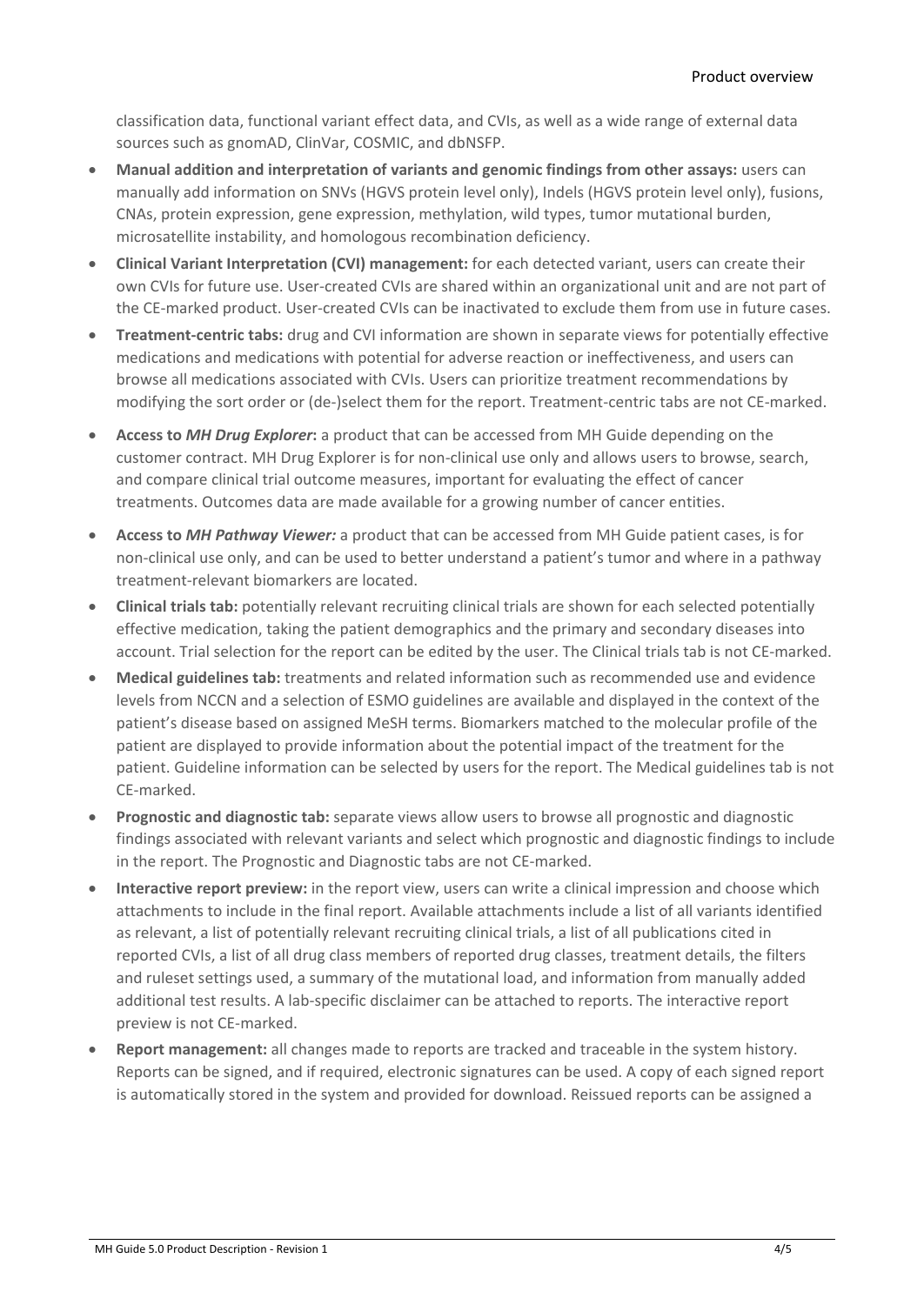classification data, functional variant effect data, and CVIs, as well as a wide range of external data sources such as gnomAD, ClinVar, COSMIC, and dbNSFP.

- **Manual addition and interpretation of variants and genomic findings from other assays:** users can manually add information on SNVs (HGVS protein level only), Indels (HGVS protein level only), fusions, CNAs, protein expression, gene expression, methylation, wild types, tumor mutational burden, microsatellite instability, and homologous recombination deficiency.
- **Clinical Variant Interpretation (CVI) management:** for each detected variant, users can create their own CVIs for future use. User-created CVIs are shared within an organizational unit and are not part of the CE-marked product. User-created CVIs can be inactivated to exclude them from use in future cases.
- **Treatment-centric tabs:** drug and CVI information are shown in separate views for potentially effective medications and medications with potential for adverse reaction or ineffectiveness, and users can browse all medications associated with CVIs. Users can prioritize treatment recommendations by modifying the sort order or (de-)select them for the report. Treatment-centric tabs are not CE-marked.
- **Access to** *MH Drug Explorer***:** a product that can be accessed from MH Guide depending on the customer contract. MH Drug Explorer is for non-clinical use only and allows users to browse, search, and compare clinical trial outcome measures, important for evaluating the effect of cancer treatments. Outcomes data are made available for a growing number of cancer entities.
- **Access to** *MH Pathway Viewer:* a product that can be accessed from MH Guide patient cases, is for non-clinical use only, and can be used to better understand a patient's tumor and where in a pathway treatment-relevant biomarkers are located.
- **Clinical trials tab:** potentially relevant recruiting clinical trials are shown for each selected potentially effective medication, taking the patient demographics and the primary and secondary diseases into account. Trial selection for the report can be edited by the user. The Clinical trials tab is not CE-marked.
- **Medical guidelines tab:** treatments and related information such as recommended use and evidence levels from NCCN and a selection of ESMO guidelines are available and displayed in the context of the patient's disease based on assigned MeSH terms. Biomarkers matched to the molecular profile of the patient are displayed to provide information about the potential impact of the treatment for the patient. Guideline information can be selected by users for the report. The Medical guidelines tab is not CE-marked.
- **Prognostic and diagnostic tab:** separate views allow users to browse all prognostic and diagnostic findings associated with relevant variants and select which prognostic and diagnostic findings to include in the report. The Prognostic and Diagnostic tabs are not CE-marked.
- **Interactive report preview:** in the report view, users can write a clinical impression and choose which attachments to include in the final report. Available attachments include a list of all variants identified as relevant, a list of potentially relevant recruiting clinical trials, a list of all publications cited in reported CVIs, a list of all drug class members of reported drug classes, treatment details, the filters and ruleset settings used, a summary of the mutational load, and information from manually added additional test results. A lab-specific disclaimer can be attached to reports. The interactive report preview is not CE-marked.
- **Report management:** all changes made to reports are tracked and traceable in the system history. Reports can be signed, and if required, electronic signatures can be used. A copy of each signed report is automatically stored in the system and provided for download. Reissued reports can be assigned a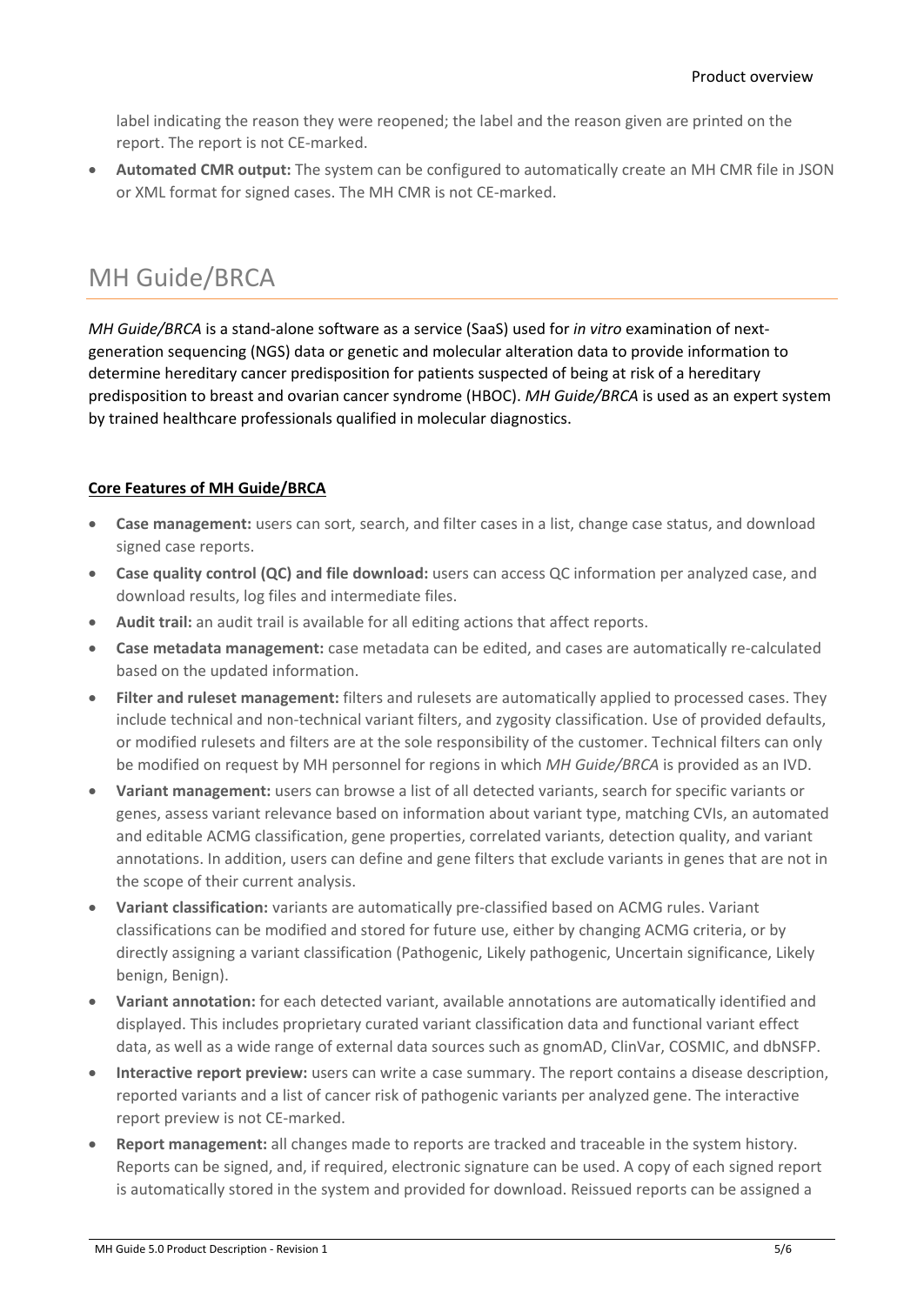label indicating the reason they were reopened; the label and the reason given are printed on the report. The report is not CE-marked.

<span id="page-4-0"></span>• **Automated CMR output:** The system can be configured to automatically create an MH CMR file in JSON or XML format for signed cases. The MH CMR is not CE-marked.

#### MH Guide/BRCA

*MH Guide/BRCA* is a stand-alone software as a service (SaaS) used for *in vitro* examination of nextgeneration sequencing (NGS) data or genetic and molecular alteration data to provide information to determine hereditary cancer predisposition for patients suspected of being at risk of a hereditary predisposition to breast and ovarian cancer syndrome (HBOC). *MH Guide/BRCA* is used as an expert system by trained healthcare professionals qualified in molecular diagnostics.

#### **Core Features of MH Guide/BRCA**

- **Case management:** users can sort, search, and filter cases in a list, change case status, and download signed case reports.
- **Case quality control (QC) and file download:** users can access QC information per analyzed case, and download results, log files and intermediate files.
- **Audit trail:** an audit trail is available for all editing actions that affect reports.
- **Case metadata management:** case metadata can be edited, and cases are automatically re-calculated based on the updated information.
- **Filter and ruleset management:** filters and rulesets are automatically applied to processed cases. They include technical and non-technical variant filters, and zygosity classification. Use of provided defaults, or modified rulesets and filters are at the sole responsibility of the customer. Technical filters can only be modified on request by MH personnel for regions in which *MH Guide/BRCA* is provided as an IVD.
- **Variant management:** users can browse a list of all detected variants, search for specific variants or genes, assess variant relevance based on information about variant type, matching CVIs, an automated and editable ACMG classification, gene properties, correlated variants, detection quality, and variant annotations. In addition, users can define and gene filters that exclude variants in genes that are not in the scope of their current analysis.
- **Variant classification:** variants are automatically pre-classified based on ACMG rules. Variant classifications can be modified and stored for future use, either by changing ACMG criteria, or by directly assigning a variant classification (Pathogenic, Likely pathogenic, Uncertain significance, Likely benign, Benign).
- **Variant annotation:** for each detected variant, available annotations are automatically identified and displayed. This includes proprietary curated variant classification data and functional variant effect data, as well as a wide range of external data sources such as gnomAD, ClinVar, COSMIC, and dbNSFP.
- **Interactive report preview:** users can write a case summary. The report contains a disease description, reported variants and a list of cancer risk of pathogenic variants per analyzed gene. The interactive report preview is not CE-marked.
- **Report management:** all changes made to reports are tracked and traceable in the system history. Reports can be signed, and, if required, electronic signature can be used. A copy of each signed report is automatically stored in the system and provided for download. Reissued reports can be assigned a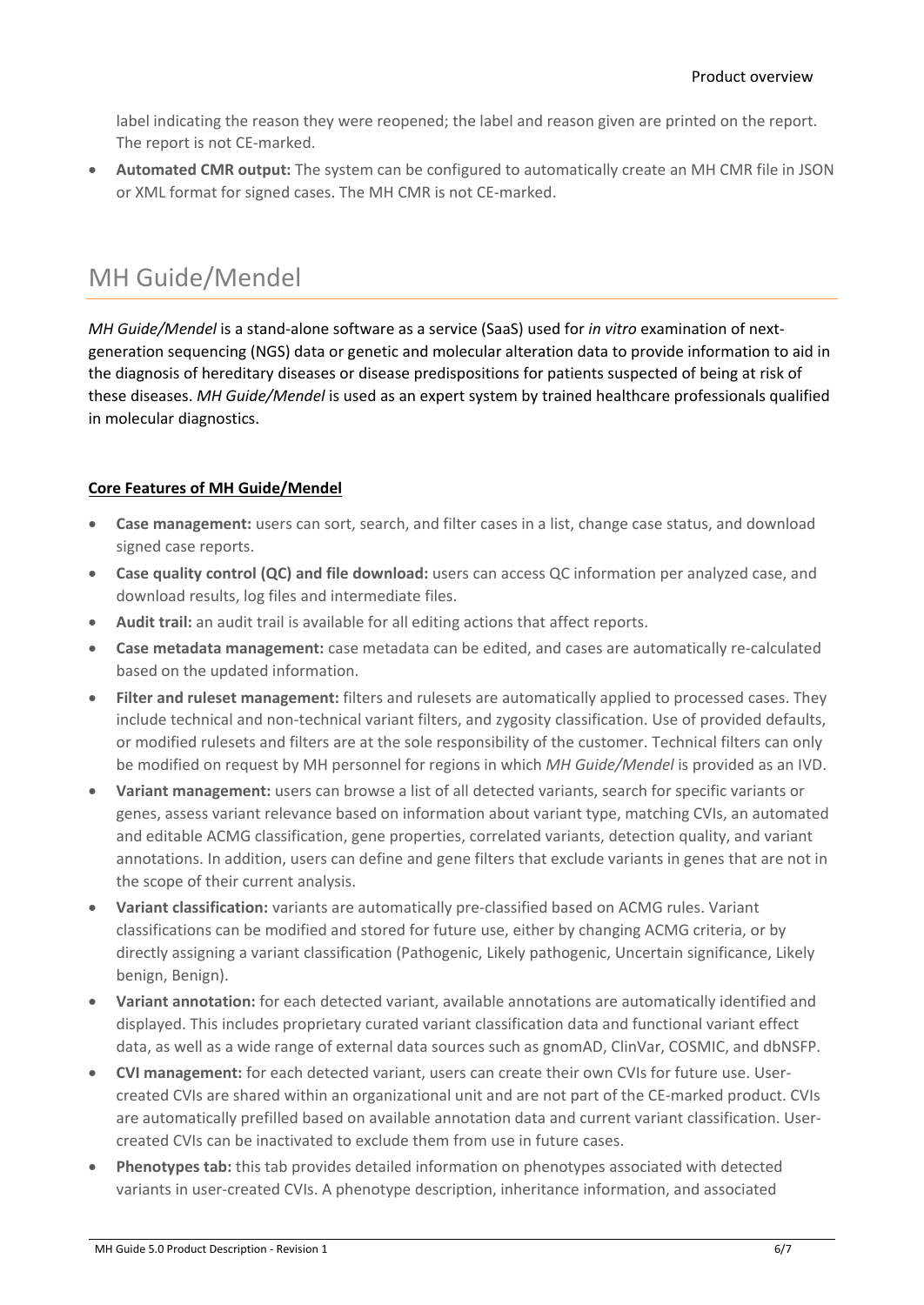label indicating the reason they were reopened; the label and reason given are printed on the report. The report is not CE-marked.

<span id="page-5-0"></span>• **Automated CMR output:** The system can be configured to automatically create an MH CMR file in JSON or XML format for signed cases. The MH CMR is not CE-marked.

#### MH Guide/Mendel

*MH Guide/Mendel* is a stand-alone software as a service (SaaS) used for *in vitro* examination of nextgeneration sequencing (NGS) data or genetic and molecular alteration data to provide information to aid in the diagnosis of hereditary diseases or disease predispositions for patients suspected of being at risk of these diseases. *MH Guide/Mendel* is used as an expert system by trained healthcare professionals qualified in molecular diagnostics.

#### **Core Features of MH Guide/Mendel**

- **Case management:** users can sort, search, and filter cases in a list, change case status, and download signed case reports.
- **Case quality control (QC) and file download:** users can access QC information per analyzed case, and download results, log files and intermediate files.
- **Audit trail:** an audit trail is available for all editing actions that affect reports.
- **Case metadata management:** case metadata can be edited, and cases are automatically re-calculated based on the updated information.
- **Filter and ruleset management:** filters and rulesets are automatically applied to processed cases. They include technical and non-technical variant filters, and zygosity classification. Use of provided defaults, or modified rulesets and filters are at the sole responsibility of the customer. Technical filters can only be modified on request by MH personnel for regions in which *MH Guide/Mendel* is provided as an IVD.
- **Variant management:** users can browse a list of all detected variants, search for specific variants or genes, assess variant relevance based on information about variant type, matching CVIs, an automated and editable ACMG classification, gene properties, correlated variants, detection quality, and variant annotations. In addition, users can define and gene filters that exclude variants in genes that are not in the scope of their current analysis.
- **Variant classification:** variants are automatically pre-classified based on ACMG rules. Variant classifications can be modified and stored for future use, either by changing ACMG criteria, or by directly assigning a variant classification (Pathogenic, Likely pathogenic, Uncertain significance, Likely benign, Benign).
- **Variant annotation:** for each detected variant, available annotations are automatically identified and displayed. This includes proprietary curated variant classification data and functional variant effect data, as well as a wide range of external data sources such as gnomAD, ClinVar, COSMIC, and dbNSFP.
- **CVI management:** for each detected variant, users can create their own CVIs for future use. Usercreated CVIs are shared within an organizational unit and are not part of the CE-marked product. CVIs are automatically prefilled based on available annotation data and current variant classification. Usercreated CVIs can be inactivated to exclude them from use in future cases.
- **Phenotypes tab:** this tab provides detailed information on phenotypes associated with detected variants in user-created CVIs. A phenotype description, inheritance information, and associated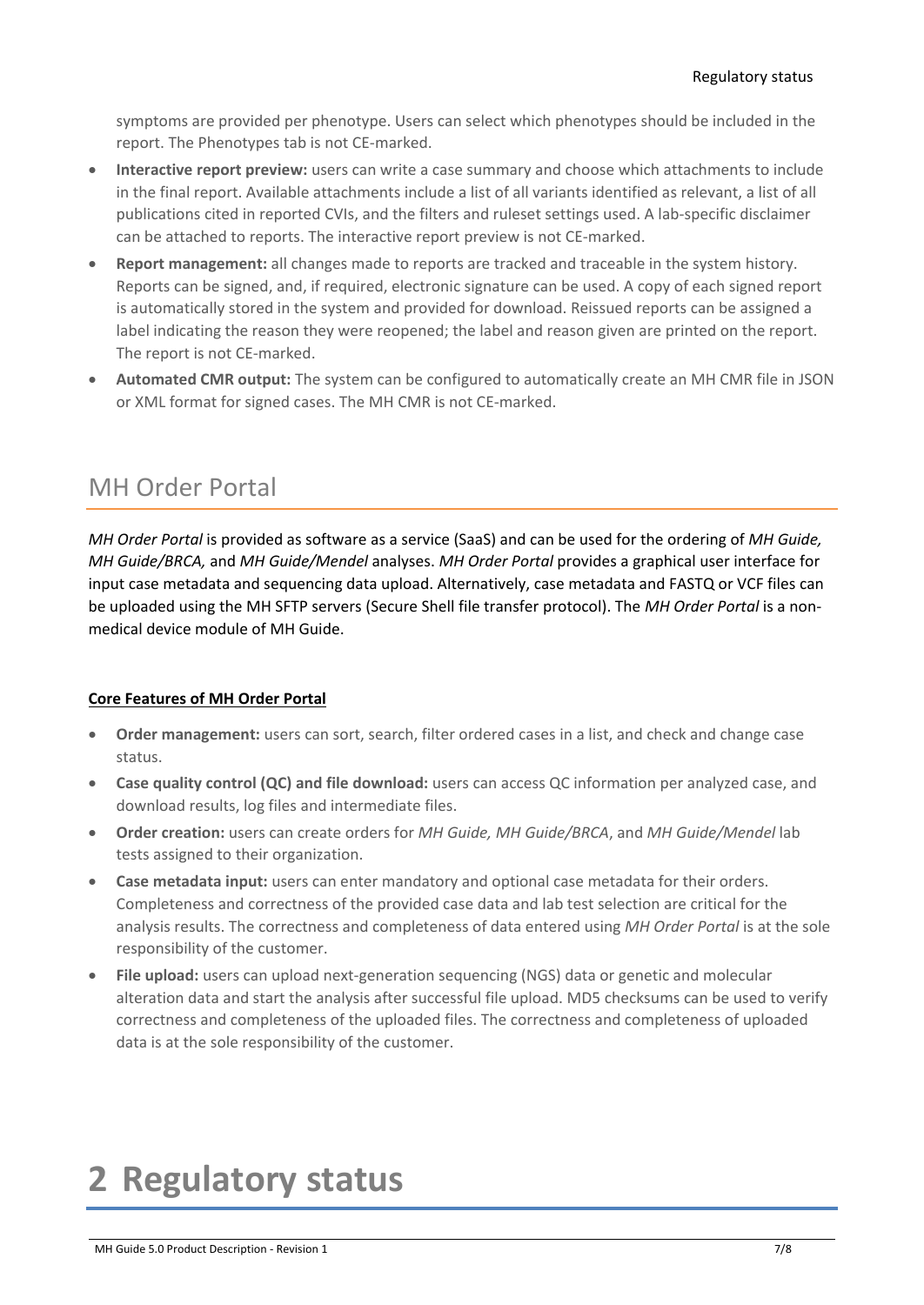symptoms are provided per phenotype. Users can select which phenotypes should be included in the report. The Phenotypes tab is not CE-marked.

- **Interactive report preview:** users can write a case summary and choose which attachments to include in the final report. Available attachments include a list of all variants identified as relevant, a list of all publications cited in reported CVIs, and the filters and ruleset settings used. A lab-specific disclaimer can be attached to reports. The interactive report preview is not CE-marked.
- **Report management:** all changes made to reports are tracked and traceable in the system history. Reports can be signed, and, if required, electronic signature can be used. A copy of each signed report is automatically stored in the system and provided for download. Reissued reports can be assigned a label indicating the reason they were reopened; the label and reason given are printed on the report. The report is not CE-marked.
- <span id="page-6-0"></span>• **Automated CMR output:** The system can be configured to automatically create an MH CMR file in JSON or XML format for signed cases. The MH CMR is not CE-marked.

#### MH Order Portal

*MH Order Portal* is provided as software as a service (SaaS) and can be used for the ordering of *MH Guide, MH Guide/BRCA,* and *MH Guide/Mendel* analyses. *MH Order Portal* provides a graphical user interface for input case metadata and sequencing data upload. Alternatively, case metadata and FASTQ or VCF files can be uploaded using the MH SFTP servers (Secure Shell file transfer protocol). The *MH Order Portal* is a nonmedical device module of MH Guide.

#### **Core Features of MH Order Portal**

- **Order management:** users can sort, search, filter ordered cases in a list, and check and change case status.
- **Case quality control (QC) and file download:** users can access QC information per analyzed case, and download results, log files and intermediate files.
- **Order creation:** users can create orders for *MH Guide, MH Guide/BRCA*, and *MH Guide/Mendel* lab tests assigned to their organization.
- **Case metadata input:** users can enter mandatory and optional case metadata for their orders. Completeness and correctness of the provided case data and lab test selection are critical for the analysis results. The correctness and completeness of data entered using *MH Order Portal* is at the sole responsibility of the customer.
- **File upload:** users can upload next-generation sequencing (NGS) data or genetic and molecular alteration data and start the analysis after successful file upload. MD5 checksums can be used to verify correctness and completeness of the uploaded files. The correctness and completeness of uploaded data is at the sole responsibility of the customer.

## <span id="page-6-1"></span>**2 Regulatory status**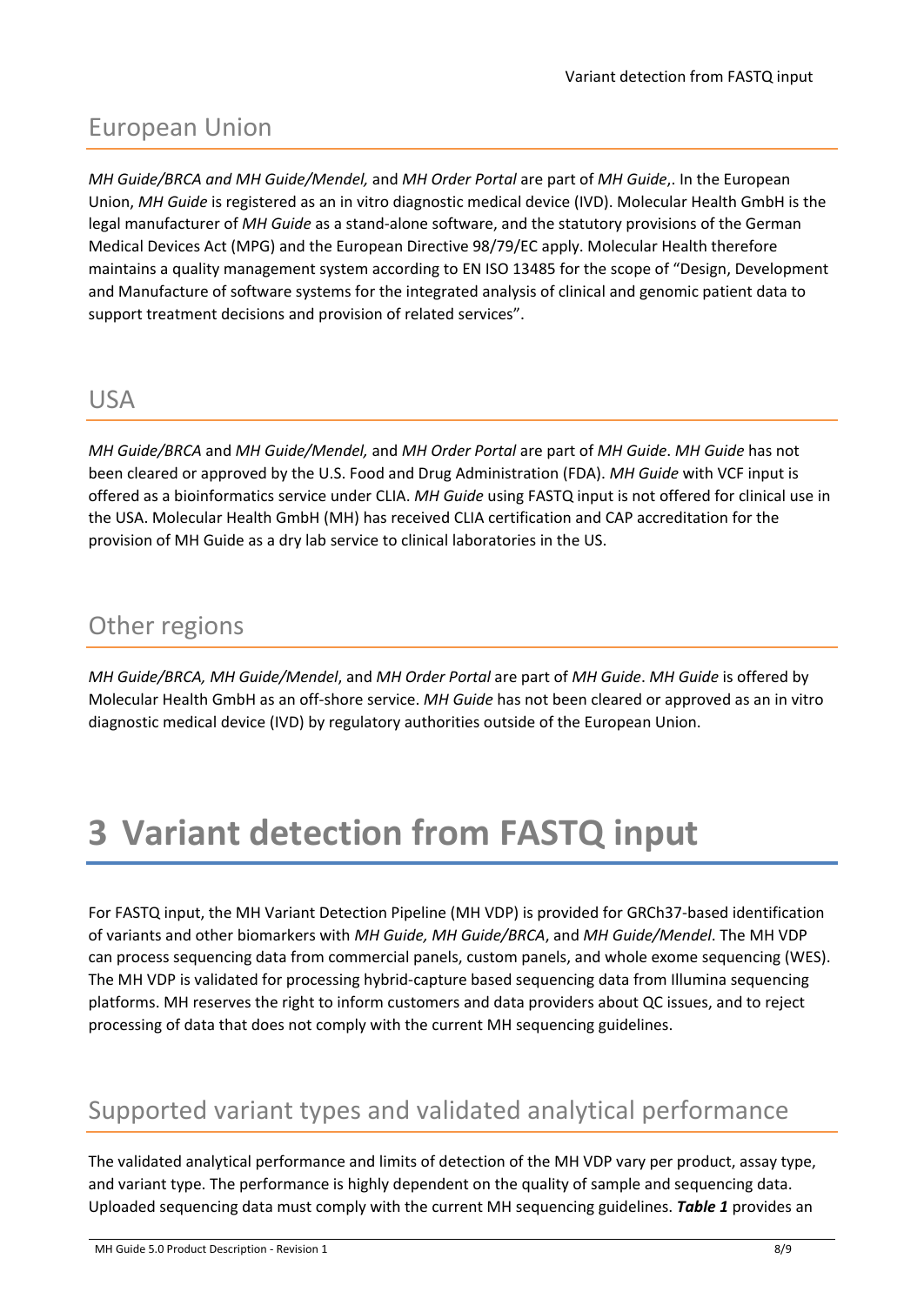#### <span id="page-7-0"></span>European Union

*MH Guide/BRCA and MH Guide/Mendel,* and *MH Order Portal* are part of *MH Guide*,. In the European Union, *MH Guide* is registered as an in vitro diagnostic medical device (IVD). Molecular Health GmbH is the legal manufacturer of *MH Guide* as a stand-alone software, and the statutory provisions of the German Medical Devices Act (MPG) and the European Directive 98/79/EC apply. Molecular Health therefore maintains a quality management system according to EN ISO 13485 for the scope of "Design, Development and Manufacture of software systems for the integrated analysis of clinical and genomic patient data to support treatment decisions and provision of related services".

#### <span id="page-7-1"></span>USA

*MH Guide/BRCA* and *MH Guide/Mendel,* and *MH Order Portal* are part of *MH Guide*. *MH Guide* has not been cleared or approved by the U.S. Food and Drug Administration (FDA). *MH Guide* with VCF input is offered as a bioinformatics service under CLIA. *MH Guide* using FASTQ input is not offered for clinical use in the USA. Molecular Health GmbH (MH) has received CLIA certification and CAP accreditation for the provision of MH Guide as a dry lab service to clinical laboratories in the US.

#### <span id="page-7-2"></span>Other regions

*MH Guide/BRCA, MH Guide/Mendel*, and *MH Order Portal* are part of *MH Guide*. *MH Guide* is offered by Molecular Health GmbH as an off-shore service. *MH Guide* has not been cleared or approved as an in vitro diagnostic medical device (IVD) by regulatory authorities outside of the European Union.

## <span id="page-7-3"></span>**3 Variant detection from FASTQ input**

For FASTQ input, the MH Variant Detection Pipeline (MH VDP) is provided for GRCh37-based identification of variants and other biomarkers with *MH Guide, MH Guide/BRCA*, and *MH Guide/Mendel*. The MH VDP can process sequencing data from commercial panels, custom panels, and whole exome sequencing (WES). The MH VDP is validated for processing hybrid-capture based sequencing data from Illumina sequencing platforms. MH reserves the right to inform customers and data providers about QC issues, and to reject processing of data that does not comply with the current MH sequencing guidelines.

#### <span id="page-7-4"></span>Supported variant types and validated analytical performance

The validated analytical performance and limits of detection of the MH VDP vary per product, assay type, and variant type. The performance is highly dependent on the quality of sample and sequencing data. Uploaded sequencing data must comply with the current MH sequencing guidelines. *Table 1* provides an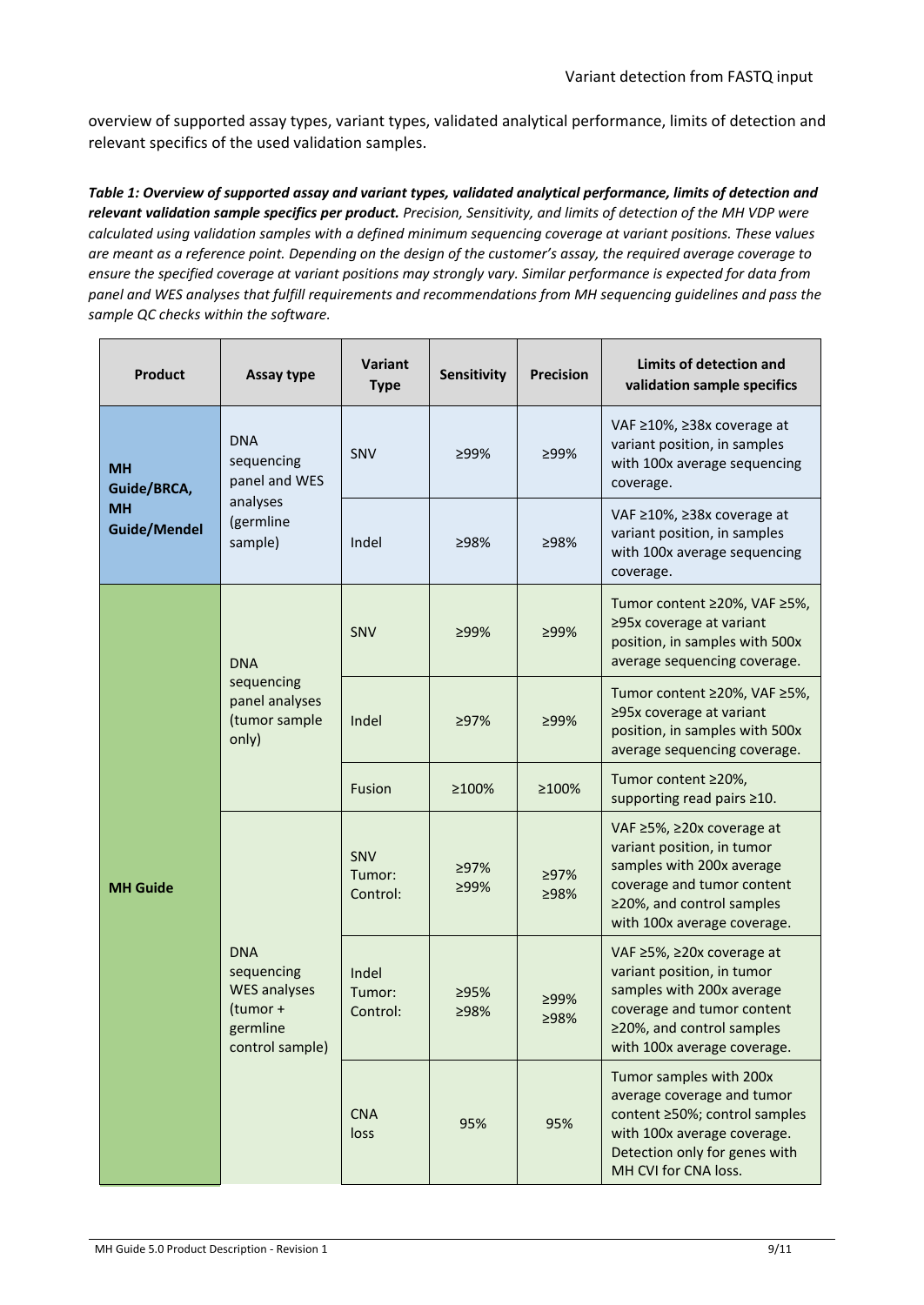overview of supported assay types, variant types, validated analytical performance, limits of detection and relevant specifics of the used validation samples.

*Table 1: Overview of supported assay and variant types, validated analytical performance, limits of detection and relevant validation sample specifics per product. Precision, Sensitivity, and limits of detection of the MH VDP were calculated using validation samples with a defined minimum sequencing coverage at variant positions. These values are meant as a reference point. Depending on the design of the customer's assay, the required average coverage to ensure the specified coverage at variant positions may strongly vary. Similar performance is expected for data from panel and WES analyses that fulfill requirements and recommendations from MH sequencing guidelines and pass the sample QC checks within the software.*

| <b>Product</b>                   | Assay type                                                                                 | <b>Variant</b><br><b>Type</b> | Sensitivity  | <b>Precision</b> | Limits of detection and<br>validation sample specifics                                                                                                                         |
|----------------------------------|--------------------------------------------------------------------------------------------|-------------------------------|--------------|------------------|--------------------------------------------------------------------------------------------------------------------------------------------------------------------------------|
| <b>MH</b><br>Guide/BRCA,         | <b>DNA</b><br>sequencing<br>panel and WES<br>analyses<br>(germline<br>sample)              | <b>SNV</b>                    | ≥99%         | ≥99%             | VAF ≥10%, ≥38x coverage at<br>variant position, in samples<br>with 100x average sequencing<br>coverage.                                                                        |
| <b>MH</b><br><b>Guide/Mendel</b> |                                                                                            | Indel                         | ≥98%         | ≥98%             | VAF ≥10%, ≥38x coverage at<br>variant position, in samples<br>with 100x average sequencing<br>coverage.                                                                        |
|                                  | <b>DNA</b><br>sequencing<br>panel analyses<br>(tumor sample<br>only)                       | SNV                           | $>99\%$      | ≥99%             | Tumor content ≥20%, VAF ≥5%,<br>≥95x coverage at variant<br>position, in samples with 500x<br>average sequencing coverage.                                                     |
|                                  |                                                                                            | Indel                         | ≥97%         | ≥99%             | Tumor content ≥20%, VAF ≥5%,<br>≥95x coverage at variant<br>position, in samples with 500x<br>average sequencing coverage.                                                     |
|                                  |                                                                                            | Fusion                        | ≥100%        | ≥100%            | Tumor content ≥20%,<br>supporting read pairs ≥10.                                                                                                                              |
| <b>MH</b> Guide                  | <b>DNA</b><br>sequencing<br><b>WES analyses</b><br>(tumor +<br>germline<br>control sample) | SNV<br>Tumor:<br>Control:     | ≥97%<br>≥99% | ≥97%<br>≥98%     | VAF ≥5%, ≥20x coverage at<br>variant position, in tumor<br>samples with 200x average<br>coverage and tumor content<br>≥20%, and control samples<br>with 100x average coverage. |
|                                  |                                                                                            | Indel<br>Tumor:<br>Control:   | ≥95%<br>≥98% | ≥99%<br>≥98%     | VAF ≥5%, ≥20x coverage at<br>variant position, in tumor<br>samples with 200x average<br>coverage and tumor content<br>≥20%, and control samples<br>with 100x average coverage. |
|                                  |                                                                                            | <b>CNA</b><br>loss            | 95%          | 95%              | Tumor samples with 200x<br>average coverage and tumor<br>content ≥50%; control samples<br>with 100x average coverage.<br>Detection only for genes with<br>MH CVI for CNA loss. |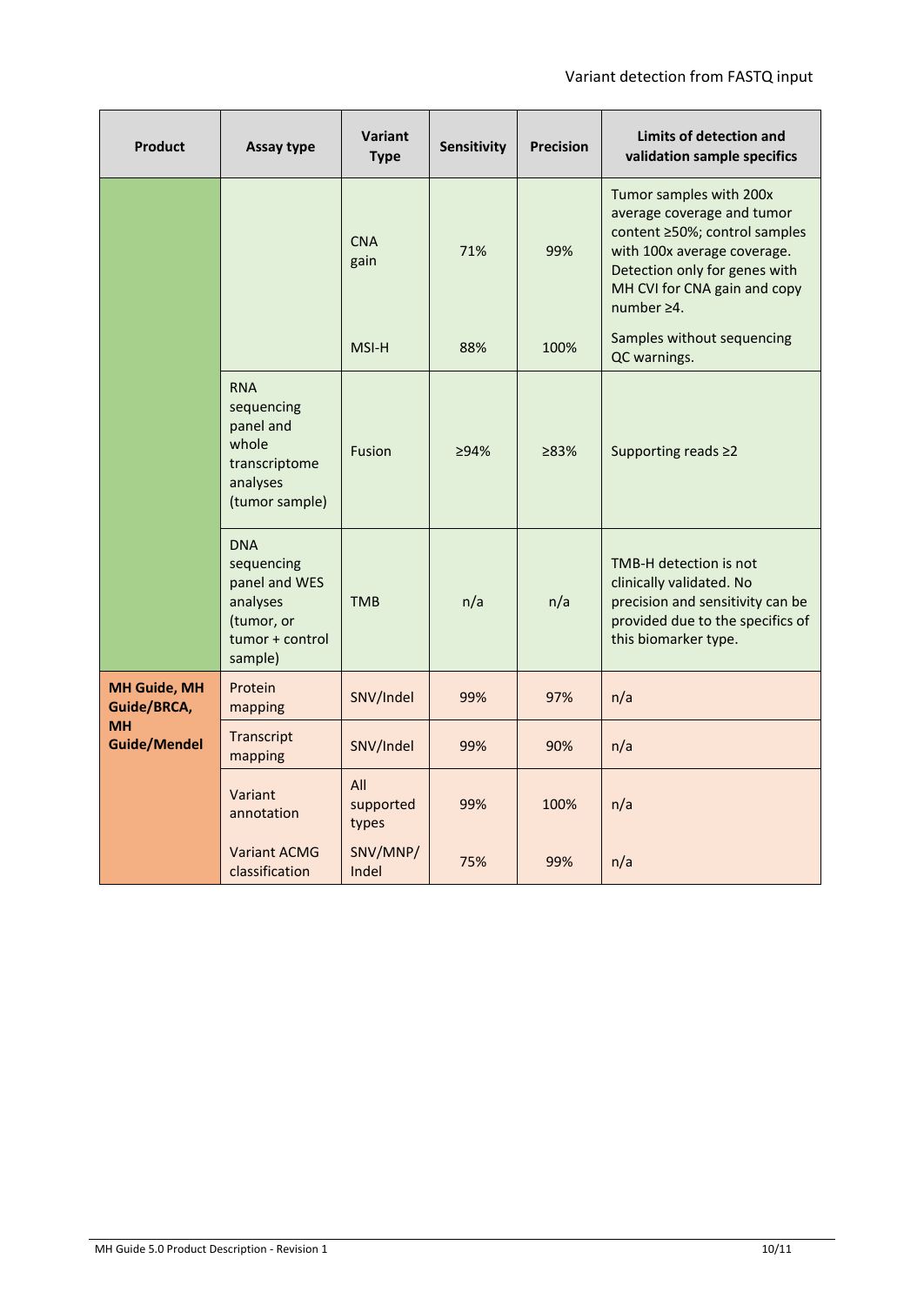| <b>Product</b>                     | Assay type                                                                                        | <b>Variant</b><br><b>Type</b> | Sensitivity | <b>Precision</b> | Limits of detection and<br>validation sample specifics                                                                                                                                                      |
|------------------------------------|---------------------------------------------------------------------------------------------------|-------------------------------|-------------|------------------|-------------------------------------------------------------------------------------------------------------------------------------------------------------------------------------------------------------|
|                                    |                                                                                                   | <b>CNA</b><br>gain            | 71%         | 99%              | Tumor samples with 200x<br>average coverage and tumor<br>content ≥50%; control samples<br>with 100x average coverage.<br>Detection only for genes with<br>MH CVI for CNA gain and copy<br>number $\geq 4$ . |
|                                    |                                                                                                   | MSI-H                         | 88%         | 100%             | Samples without sequencing<br>QC warnings.                                                                                                                                                                  |
|                                    | <b>RNA</b><br>sequencing<br>panel and<br>whole<br>transcriptome<br>analyses<br>(tumor sample)     | <b>Fusion</b>                 | >94%        | 283%             | Supporting reads ≥2                                                                                                                                                                                         |
|                                    | <b>DNA</b><br>sequencing<br>panel and WES<br>analyses<br>(tumor, or<br>tumor + control<br>sample) | <b>TMB</b>                    | n/a         | n/a              | TMB-H detection is not<br>clinically validated. No<br>precision and sensitivity can be<br>provided due to the specifics of<br>this biomarker type.                                                          |
| <b>MH Guide, MH</b><br>Guide/BRCA, | Protein<br>mapping                                                                                | SNV/Indel                     | 99%         | 97%              | n/a                                                                                                                                                                                                         |
| <b>MH</b><br><b>Guide/Mendel</b>   | Transcript<br>mapping                                                                             | SNV/Indel                     | 99%         | 90%              | n/a                                                                                                                                                                                                         |
|                                    | Variant<br>annotation                                                                             | All<br>supported<br>types     | 99%         | 100%             | n/a                                                                                                                                                                                                         |
|                                    | <b>Variant ACMG</b><br>classification                                                             | SNV/MNP/<br>Indel             | 75%         | 99%              | n/a                                                                                                                                                                                                         |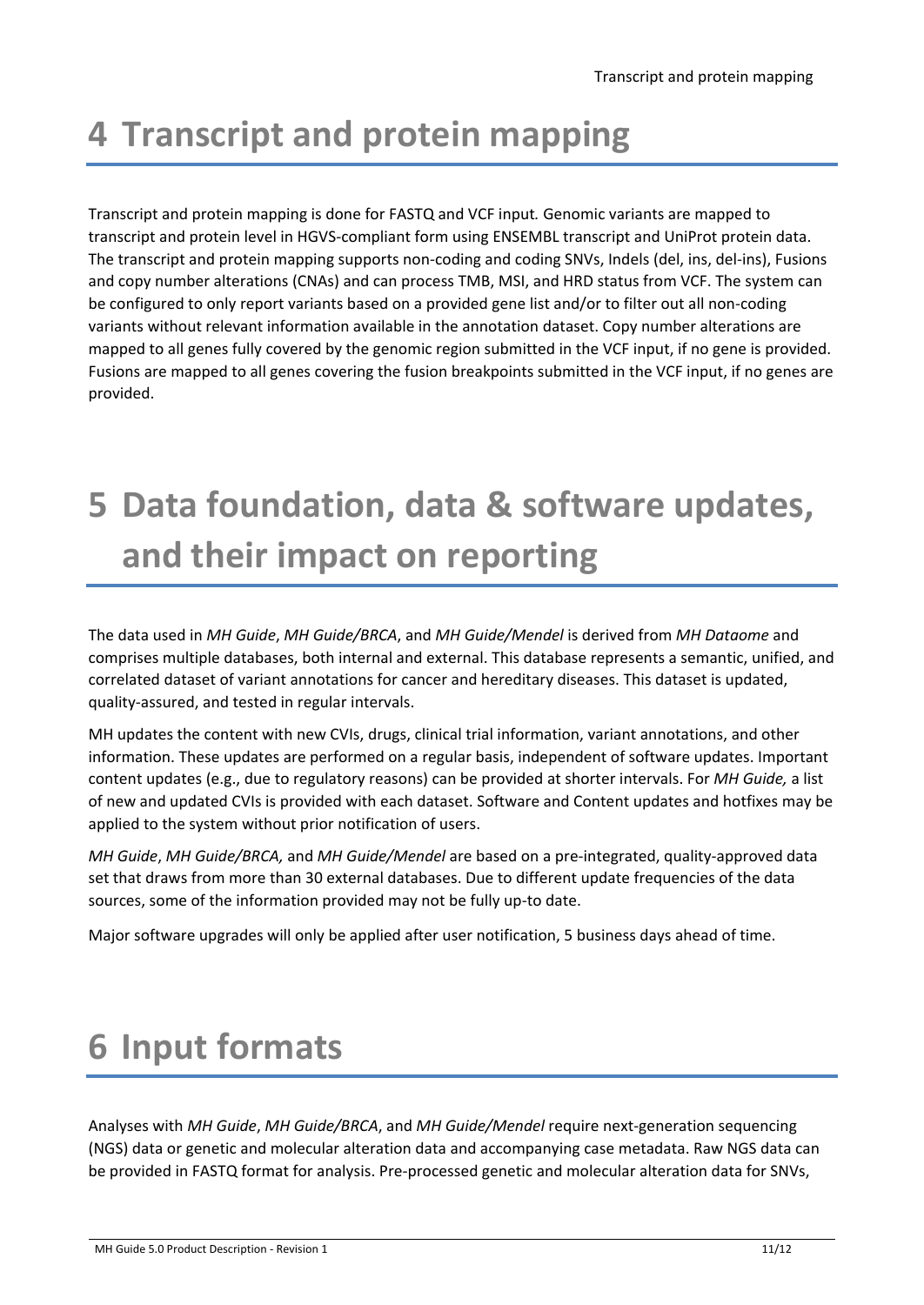## <span id="page-10-0"></span>**4 Transcript and protein mapping**

Transcript and protein mapping is done for FASTQ and VCF input*.* Genomic variants are mapped to transcript and protein level in HGVS-compliant form using ENSEMBL transcript and UniProt protein data. The transcript and protein mapping supports non-coding and coding SNVs, Indels (del, ins, del-ins), Fusions and copy number alterations (CNAs) and can process TMB, MSI, and HRD status from VCF. The system can be configured to only report variants based on a provided gene list and/or to filter out all non-coding variants without relevant information available in the annotation dataset. Copy number alterations are mapped to all genes fully covered by the genomic region submitted in the VCF input, if no gene is provided. Fusions are mapped to all genes covering the fusion breakpoints submitted in the VCF input, if no genes are provided.

## <span id="page-10-1"></span>**5 Data foundation, data & software updates, and their impact on reporting**

The data used in *MH Guide*, *MH Guide/BRCA*, and *MH Guide/Mendel* is derived from *MH Dataome* and comprises multiple databases, both internal and external. This database represents a semantic, unified, and correlated dataset of variant annotations for cancer and hereditary diseases. This dataset is updated, quality-assured, and tested in regular intervals.

MH updates the content with new CVIs, drugs, clinical trial information, variant annotations, and other information. These updates are performed on a regular basis, independent of software updates. Important content updates (e.g., due to regulatory reasons) can be provided at shorter intervals. For *MH Guide,* a list of new and updated CVIs is provided with each dataset. Software and Content updates and hotfixes may be applied to the system without prior notification of users.

*MH Guide*, *MH Guide/BRCA,* and *MH Guide/Mendel* are based on a pre-integrated, quality-approved data set that draws from more than 30 external databases. Due to different update frequencies of the data sources, some of the information provided may not be fully up-to date.

<span id="page-10-2"></span>Major software upgrades will only be applied after user notification, 5 business days ahead of time.

## **6 Input formats**

Analyses with *MH Guide*, *MH Guide/BRCA*, and *MH Guide/Mendel* require next-generation sequencing (NGS) data or genetic and molecular alteration data and accompanying case metadata. Raw NGS data can be provided in FASTQ format for analysis. Pre-processed genetic and molecular alteration data for SNVs,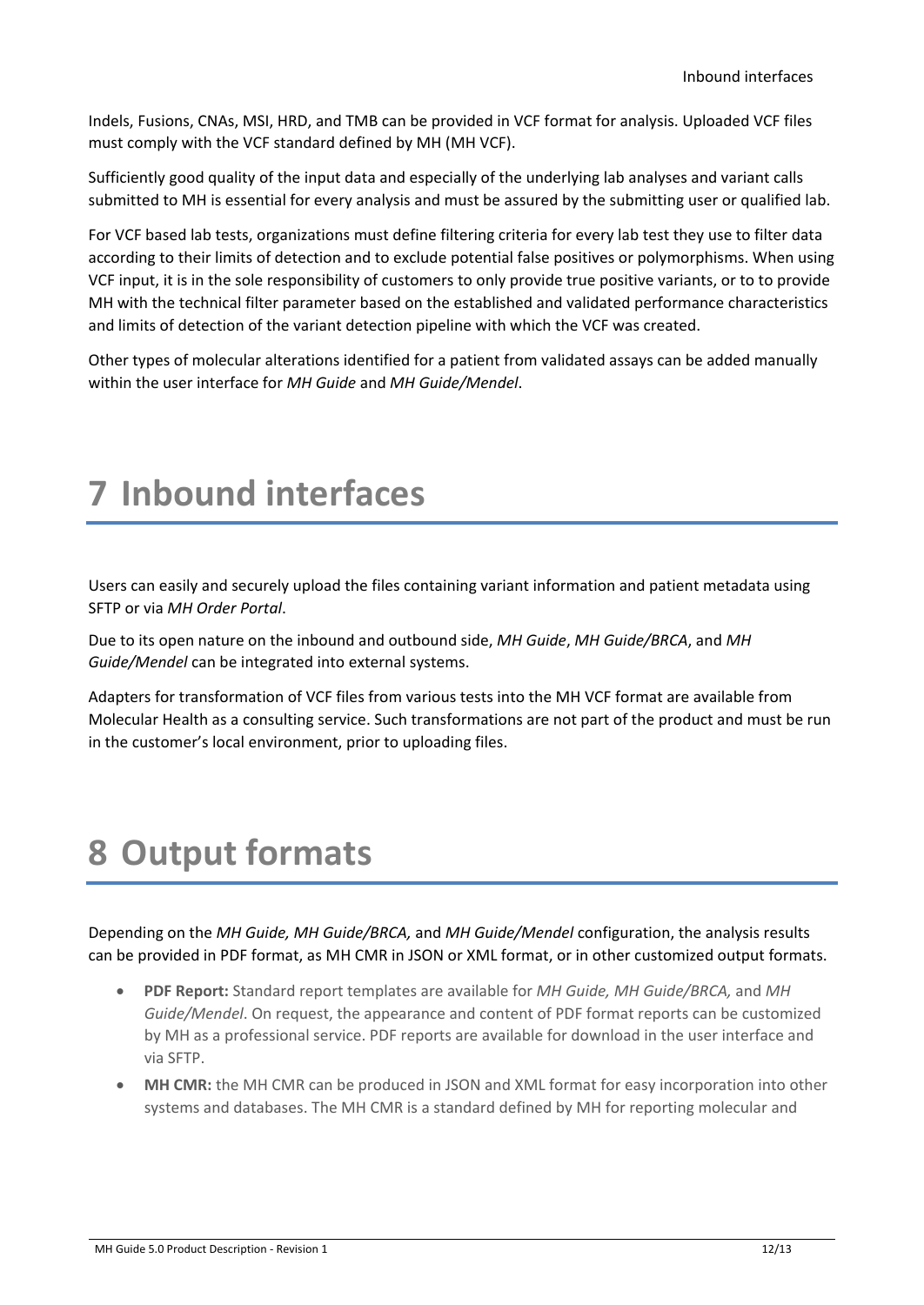Indels, Fusions, CNAs, MSI, HRD, and TMB can be provided in VCF format for analysis. Uploaded VCF files must comply with the VCF standard defined by MH (MH VCF).

Sufficiently good quality of the input data and especially of the underlying lab analyses and variant calls submitted to MH is essential for every analysis and must be assured by the submitting user or qualified lab.

For VCF based lab tests, organizations must define filtering criteria for every lab test they use to filter data according to their limits of detection and to exclude potential false positives or polymorphisms. When using VCF input, it is in the sole responsibility of customers to only provide true positive variants, or to to provide MH with the technical filter parameter based on the established and validated performance characteristics and limits of detection of the variant detection pipeline with which the VCF was created.

<span id="page-11-0"></span>Other types of molecular alterations identified for a patient from validated assays can be added manually within the user interface for *MH Guide* and *MH Guide/Mendel*.

## **7 Inbound interfaces**

Users can easily and securely upload the files containing variant information and patient metadata using SFTP or via *MH Order Portal*.

Due to its open nature on the inbound and outbound side, *MH Guide*, *MH Guide/BRCA*, and *MH Guide/Mendel* can be integrated into external systems.

Adapters for transformation of VCF files from various tests into the MH VCF format are available from Molecular Health as a consulting service. Such transformations are not part of the product and must be run in the customer's local environment, prior to uploading files.

### <span id="page-11-1"></span>**8 Output formats**

Depending on the *MH Guide, MH Guide/BRCA,* and *MH Guide/Mendel* configuration, the analysis results can be provided in PDF format, as MH CMR in JSON or XML format, or in other customized output formats.

- **PDF Report:** Standard report templates are available for *MH Guide, MH Guide/BRCA,* and *MH Guide/Mendel*. On request, the appearance and content of PDF format reports can be customized by MH as a professional service. PDF reports are available for download in the user interface and via SFTP.
- **MH CMR:** the MH CMR can be produced in JSON and XML format for easy incorporation into other systems and databases. The MH CMR is a standard defined by MH for reporting molecular and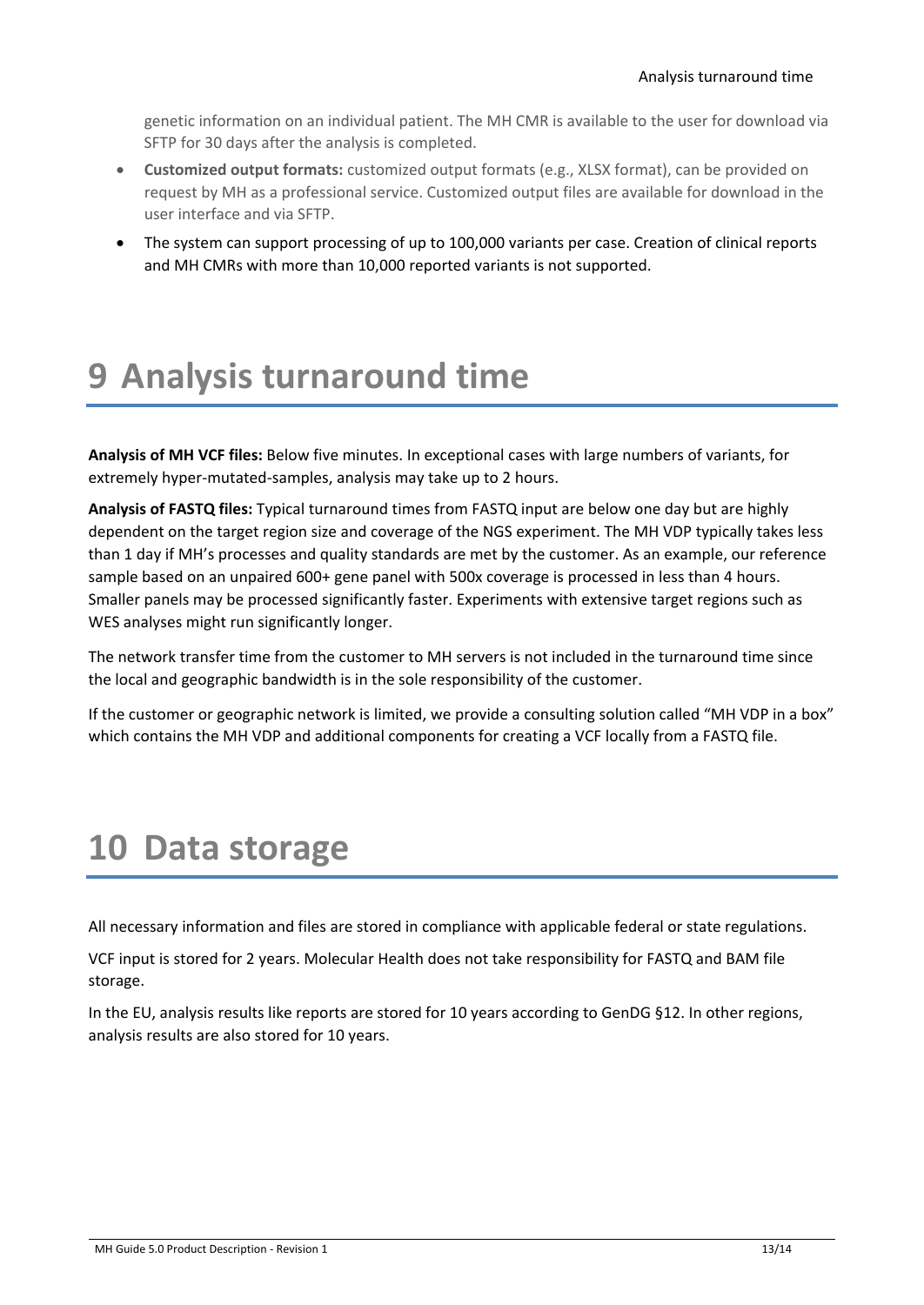genetic information on an individual patient. The MH CMR is available to the user for download via SFTP for 30 days after the analysis is completed.

- **Customized output formats:** customized output formats (e.g., XLSX format), can be provided on request by MH as a professional service. Customized output files are available for download in the user interface and via SFTP.
- <span id="page-12-0"></span>• The system can support processing of up to 100,000 variants per case. Creation of clinical reports and MH CMRs with more than 10,000 reported variants is not supported.

## **9 Analysis turnaround time**

**Analysis of MH VCF files:** Below five minutes. In exceptional cases with large numbers of variants, for extremely hyper-mutated-samples, analysis may take up to 2 hours.

**Analysis of FASTQ files:** Typical turnaround times from FASTQ input are below one day but are highly dependent on the target region size and coverage of the NGS experiment. The MH VDP typically takes less than 1 day if MH's processes and quality standards are met by the customer. As an example, our reference sample based on an unpaired 600+ gene panel with 500x coverage is processed in less than 4 hours. Smaller panels may be processed significantly faster. Experiments with extensive target regions such as WES analyses might run significantly longer.

The network transfer time from the customer to MH servers is not included in the turnaround time since the local and geographic bandwidth is in the sole responsibility of the customer.

<span id="page-12-1"></span>If the customer or geographic network is limited, we provide a consulting solution called "MH VDP in a box" which contains the MH VDP and additional components for creating a VCF locally from a FASTQ file.

## **10 Data storage**

All necessary information and files are stored in compliance with applicable federal or state regulations.

VCF input is stored for 2 years. Molecular Health does not take responsibility for FASTQ and BAM file storage.

In the EU, analysis results like reports are stored for 10 years according to GenDG §12. In other regions, analysis results are also stored for 10 years.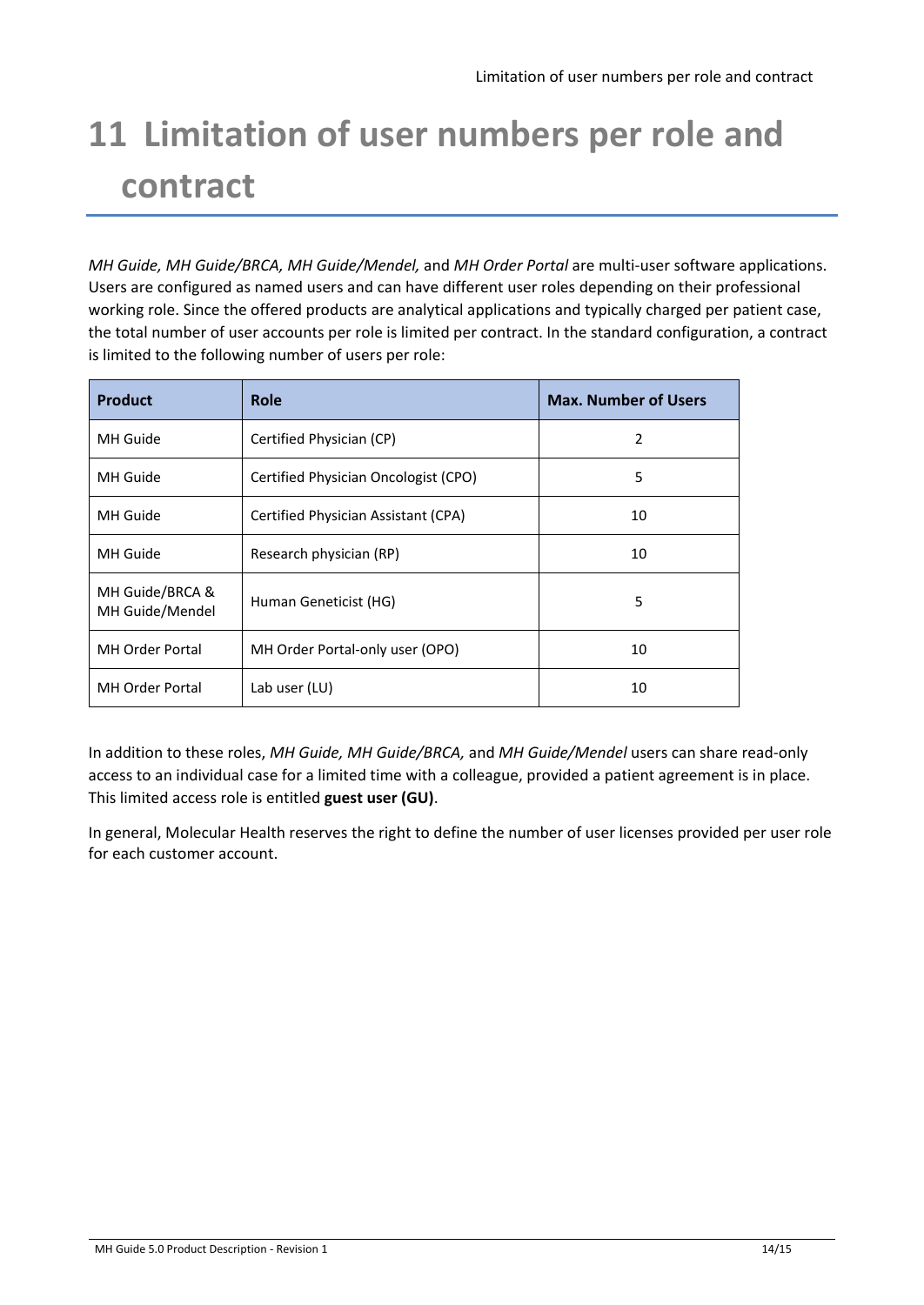## <span id="page-13-0"></span>**11 Limitation of user numbers per role and contract**

*MH Guide, MH Guide/BRCA, MH Guide/Mendel,* and *MH Order Portal* are multi-user software applications. Users are configured as named users and can have different user roles depending on their professional working role. Since the offered products are analytical applications and typically charged per patient case, the total number of user accounts per role is limited per contract. In the standard configuration, a contract is limited to the following number of users per role:

| <b>Product</b>                     | <b>Role</b>                          | <b>Max. Number of Users</b> |
|------------------------------------|--------------------------------------|-----------------------------|
| MH Guide                           | Certified Physician (CP)             | 2                           |
| MH Guide                           | Certified Physician Oncologist (CPO) | 5                           |
| MH Guide                           | Certified Physician Assistant (CPA)  | 10                          |
| MH Guide                           | Research physician (RP)              | 10                          |
| MH Guide/BRCA &<br>MH Guide/Mendel | Human Geneticist (HG)                | 5                           |
| <b>MH Order Portal</b>             | MH Order Portal-only user (OPO)      | 10                          |
| <b>MH Order Portal</b>             | Lab user (LU)                        | 10                          |

In addition to these roles, *MH Guide, MH Guide/BRCA,* and *MH Guide/Mendel* users can share read-only access to an individual case for a limited time with a colleague, provided a patient agreement is in place. This limited access role is entitled **guest user (GU)**.

In general, Molecular Health reserves the right to define the number of user licenses provided per user role for each customer account.